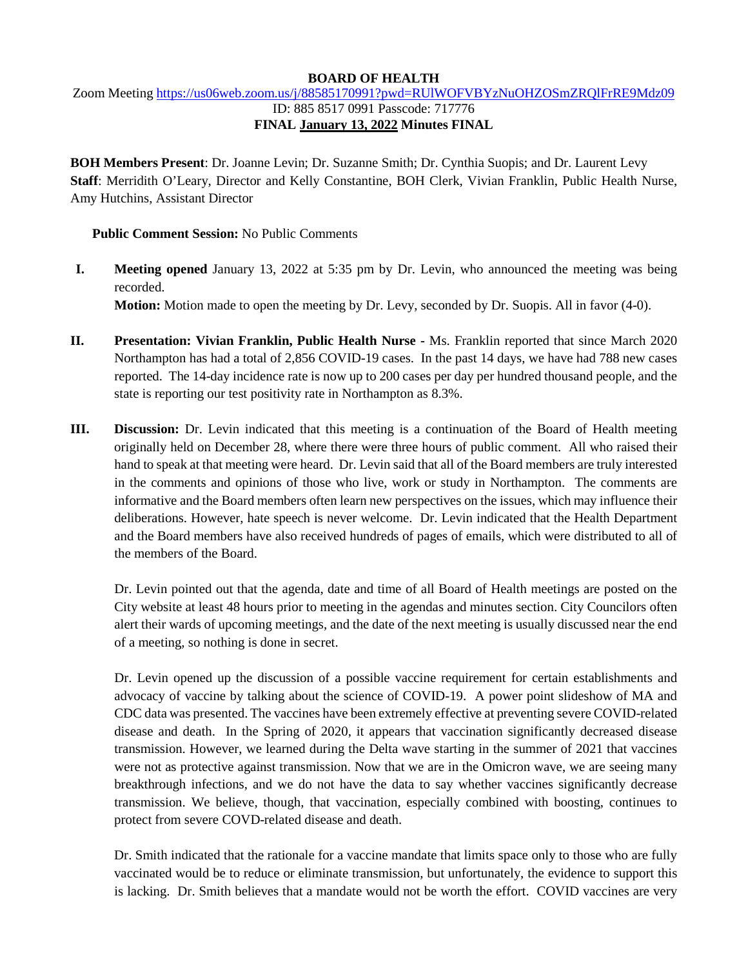#### **BOARD OF HEALTH**

# Zoom Meeting<https://us06web.zoom.us/j/88585170991?pwd=RUlWOFVBYzNuOHZOSmZRQlFrRE9Mdz09> ID: 885 8517 0991 Passcode: 717776 **FINAL January 13, 2022 Minutes FINAL**

**BOH Members Present**: Dr. Joanne Levin; Dr. Suzanne Smith; Dr. Cynthia Suopis; and Dr. Laurent Levy **Staff**: Merridith O'Leary, Director and Kelly Constantine, BOH Clerk, Vivian Franklin, Public Health Nurse, Amy Hutchins, Assistant Director

### **Public Comment Session:** No Public Comments

- **I. Meeting opened** January 13, 2022 at 5:35 pm by Dr. Levin, who announced the meeting was being recorded. **Motion:** Motion made to open the meeting by Dr. Levy, seconded by Dr. Suopis. All in favor (4-0).
- **II. Presentation: Vivian Franklin, Public Health Nurse -** Ms. Franklin reported that since March 2020 Northampton has had a total of 2,856 COVID-19 cases. In the past 14 days, we have had 788 new cases reported. The 14-day incidence rate is now up to 200 cases per day per hundred thousand people, and the state is reporting our test positivity rate in Northampton as 8.3%.
- **III. Discussion:** Dr. Levin indicated that this meeting is a continuation of the Board of Health meeting originally held on December 28, where there were three hours of public comment. All who raised their hand to speak at that meeting were heard. Dr. Levin said that all of the Board members are truly interested in the comments and opinions of those who live, work or study in Northampton. The comments are informative and the Board members often learn new perspectives on the issues, which may influence their deliberations. However, hate speech is never welcome. Dr. Levin indicated that the Health Department and the Board members have also received hundreds of pages of emails, which were distributed to all of the members of the Board.

Dr. Levin pointed out that the agenda, date and time of all Board of Health meetings are posted on the City website at least 48 hours prior to meeting in the agendas and minutes section. City Councilors often alert their wards of upcoming meetings, and the date of the next meeting is usually discussed near the end of a meeting, so nothing is done in secret.

Dr. Levin opened up the discussion of a possible vaccine requirement for certain establishments and advocacy of vaccine by talking about the science of COVID-19. A power point slideshow of MA and CDC data was presented. The vaccines have been extremely effective at preventing severe COVID-related disease and death. In the Spring of 2020, it appears that vaccination significantly decreased disease transmission. However, we learned during the Delta wave starting in the summer of 2021 that vaccines were not as protective against transmission. Now that we are in the Omicron wave, we are seeing many breakthrough infections, and we do not have the data to say whether vaccines significantly decrease transmission. We believe, though, that vaccination, especially combined with boosting, continues to protect from severe COVD-related disease and death.

Dr. Smith indicated that the rationale for a vaccine mandate that limits space only to those who are fully vaccinated would be to reduce or eliminate transmission, but unfortunately, the evidence to support this is lacking. Dr. Smith believes that a mandate would not be worth the effort. COVID vaccines are very